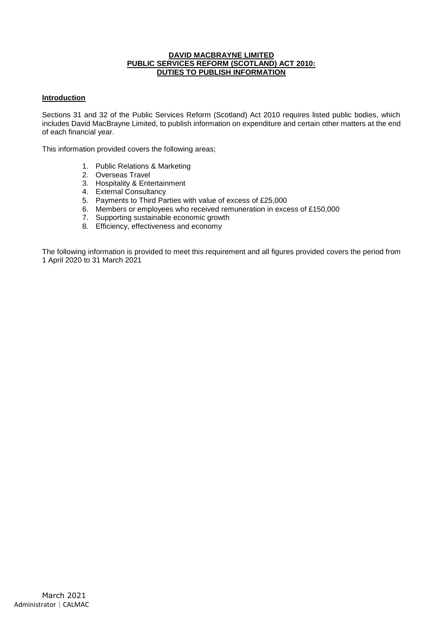#### **DAVID MACBRAYNE LIMITED PUBLIC SERVICES REFORM (SCOTLAND) ACT 2010: DUTIES TO PUBLISH INFORMATION**

### **Introduction**

Sections 31 and 32 of the Public Services Reform (Scotland) Act 2010 requires listed public bodies, which includes David MacBrayne Limited, to publish information on expenditure and certain other matters at the end of each financial year.

This information provided covers the following areas;

- 1. Public Relations & Marketing
- 2. Overseas Travel
- 3. Hospitality & Entertainment
- 4. External Consultancy
- 5. Payments to Third Parties with value of excess of £25,000
- 6. Members or employees who received remuneration in excess of £150,000
- 7. Supporting sustainable economic growth
- 8. Efficiency, effectiveness and economy

The following information is provided to meet this requirement and all figures provided covers the period from 1 April 2020 to 31 March 2021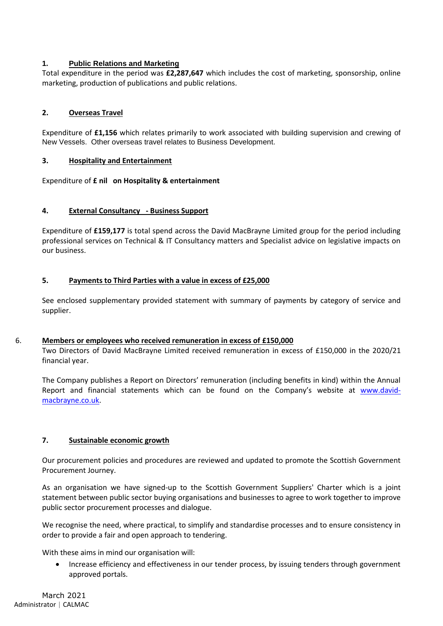## **1. Public Relations and Marketing**

Total expenditure in the period was **£2,287,647** which includes the cost of marketing, sponsorship, online marketing, production of publications and public relations.

## **2. Overseas Travel**

Expenditure of **£1,156** which relates primarily to work associated with building supervision and crewing of New Vessels. Other overseas travel relates to Business Development.

### **3. Hospitality and Entertainment**

Expenditure of **£ nil on Hospitality & entertainment**

## **4. External Consultancy - Business Support**

Expenditure of **£159,177** is total spend across the David MacBrayne Limited group for the period including professional services on Technical & IT Consultancy matters and Specialist advice on legislative impacts on our business.

## **5. Payments to Third Parties with a value in excess of £25,000**

See enclosed supplementary provided statement with summary of payments by category of service and supplier.

### 6. **Members or employees who received remuneration in excess of £150,000**

Two Directors of David MacBrayne Limited received remuneration in excess of £150,000 in the 2020/21 financial year.

The Company publishes a Report on Directors' remuneration (including benefits in kind) within the Annual Report and financial statements which can be found on the Company's website at [www.david](http://www.david-macbrayne.co.uk/)[macbrayne.co.uk.](http://www.david-macbrayne.co.uk/)

### **7. Sustainable economic growth**

Our procurement policies and procedures are reviewed and updated to promote the Scottish Government Procurement Journey.

As an organisation we have signed-up to the Scottish Government Suppliers' Charter which is a joint statement between public sector buying organisations and businesses to agree to work together to improve public sector procurement processes and dialogue.

We recognise the need, where practical, to simplify and standardise processes and to ensure consistency in order to provide a fair and open approach to tendering.

With these aims in mind our organisation will:

• Increase efficiency and effectiveness in our tender process, by issuing tenders through government approved portals.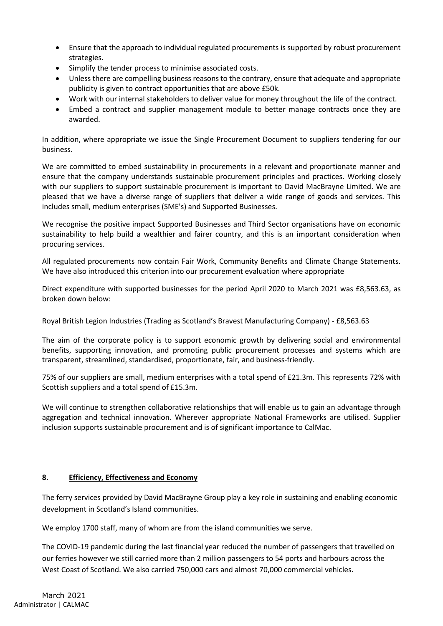- Ensure that the approach to individual regulated procurements is supported by robust procurement strategies.
- Simplify the tender process to minimise associated costs.
- Unless there are compelling business reasons to the contrary, ensure that adequate and appropriate publicity is given to contract opportunities that are above £50k.
- Work with our internal stakeholders to deliver value for money throughout the life of the contract.
- Embed a contract and supplier management module to better manage contracts once they are awarded.

In addition, where appropriate we issue the Single Procurement Document to suppliers tendering for our business.

We are committed to embed sustainability in procurements in a relevant and proportionate manner and ensure that the company understands sustainable procurement principles and practices. Working closely with our suppliers to support sustainable procurement is important to David MacBrayne Limited. We are pleased that we have a diverse range of suppliers that deliver a wide range of goods and services. This includes small, medium enterprises (SME's) and Supported Businesses.

We recognise the positive impact Supported Businesses and Third Sector organisations have on economic sustainability to help build a wealthier and fairer country, and this is an important consideration when procuring services.

All regulated procurements now contain Fair Work, Community Benefits and Climate Change Statements. We have also introduced this criterion into our procurement evaluation where appropriate

Direct expenditure with supported businesses for the period April 2020 to March 2021 was £8,563.63, as broken down below:

Royal British Legion Industries (Trading as Scotland's Bravest Manufacturing Company) - £8,563.63

The aim of the corporate policy is to support economic growth by delivering social and environmental benefits, supporting innovation, and promoting public procurement processes and systems which are transparent, streamlined, standardised, proportionate, fair, and business-friendly.

75% of our suppliers are small, medium enterprises with a total spend of £21.3m. This represents 72% with Scottish suppliers and a total spend of £15.3m.

We will continue to strengthen collaborative relationships that will enable us to gain an advantage through aggregation and technical innovation. Wherever appropriate National Frameworks are utilised. Supplier inclusion supports sustainable procurement and is of significant importance to CalMac.

# **8. Efficiency, Effectiveness and Economy**

The ferry services provided by David MacBrayne Group play a key role in sustaining and enabling economic development in Scotland's Island communities.

We employ 1700 staff, many of whom are from the island communities we serve.

The COVID-19 pandemic during the last financial year reduced the number of passengers that travelled on our ferries however we still carried more than 2 million passengers to 54 ports and harbours across the West Coast of Scotland. We also carried 750,000 cars and almost 70,000 commercial vehicles.